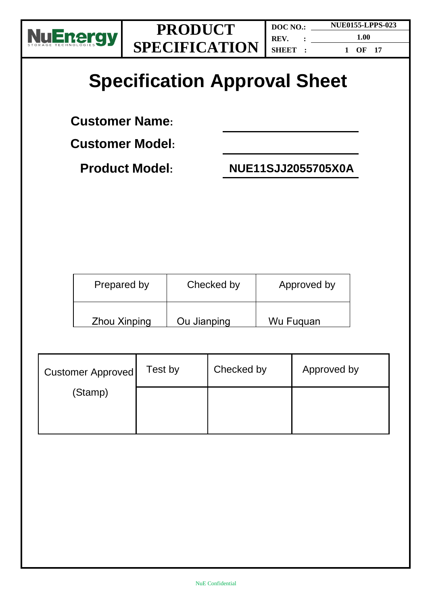



**DOC NO.: REV. : SHEET : NUE0155-LPPS-023 1.00 1 OF 17**

# **Specification Approval Sheet**

**Customer Name:** 

**Customer Model:**

**Product Model: NUE11SJJ2055705X0A**

| Prepared by         | Checked by  | Approved by |
|---------------------|-------------|-------------|
| <b>Zhou Xinping</b> | Ou Jianping | Wu Fuguan   |

| <b>Customer Approved</b> | Test by | Checked by | Approved by |
|--------------------------|---------|------------|-------------|
| (Stamp)                  |         |            |             |
|                          |         |            |             |
|                          |         |            |             |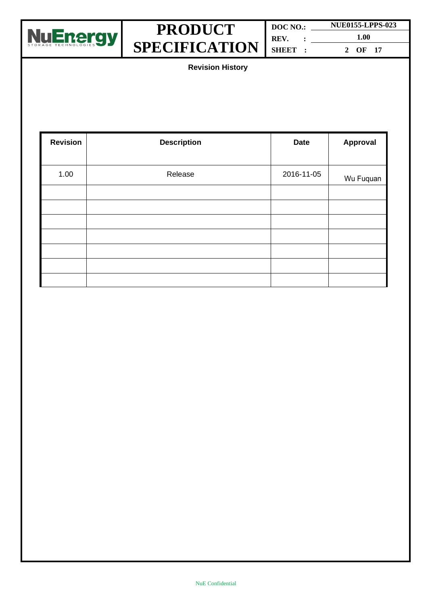

| DOC NO.: | <b>NUE0155-LPPS-023</b> |  |
|----------|-------------------------|--|
| REV.     | 1.00                    |  |
| SHEET :  | OF 17                   |  |

**Revision History**

| <b>Revision</b> | <b>Description</b> | <b>Date</b> | <b>Approval</b> |
|-----------------|--------------------|-------------|-----------------|
|                 |                    |             |                 |
| 1.00            | Release            | 2016-11-05  | Wu Fuquan       |
|                 |                    |             |                 |
|                 |                    |             |                 |
|                 |                    |             |                 |
|                 |                    |             |                 |
|                 |                    |             |                 |
|                 |                    |             |                 |
|                 |                    |             |                 |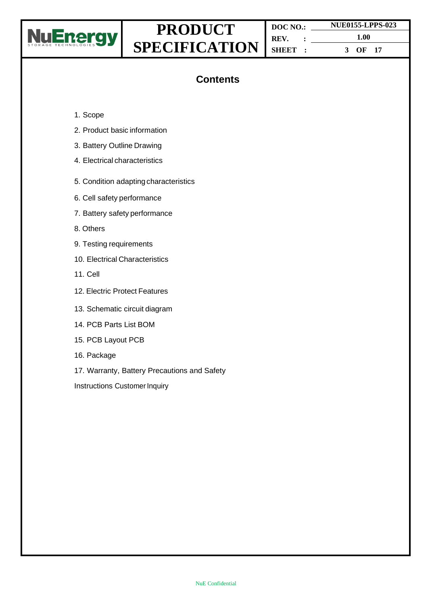

**DOC NO.: REV. : SHEET : NUE0155-LPPS-023 1.00 3 OF 17**

### **Contents**

- 1. Scope
- 2. Product basic information
- 3. Battery Outline Drawing
- 4. Electrical characteristics
- 5. Condition adapting characteristics
- 6. Cell safety performance
- 7. Battery safety performance
- 8. Others
- 9. Testing requirements
- 10. Electrical Characteristics
- 11. Cell
- 12. Electric Protect Features
- 13. Schematic circuit diagram
- 14. PCB Parts List BOM
- 15. PCB Layout PCB
- 16. Package
- 17. Warranty, Battery Precautions and Safety
- Instructions Customer Inquiry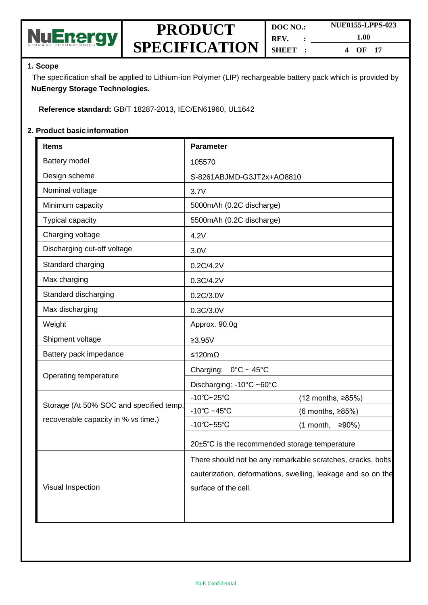

| DOC NO.           |  | <b>NUE0155-LPPS-023</b> |
|-------------------|--|-------------------------|
| REV.<br>$\cdot$ : |  | 1.00                    |
| SHEET :           |  | OF $17$<br>4            |

#### **1. Scope**

The specification shall be applied to Lithium-ion Polymer (LIP) rechargeable battery pack which is provided by **NuEnergy Storage Technologies.**

**Reference standard:** GB/T 18287-2013, IEC/EN61960, UL1642

#### **2. Product basic information**

| <b>Items</b>                            | <b>Parameter</b>                                             |                    |  |
|-----------------------------------------|--------------------------------------------------------------|--------------------|--|
| Battery model                           | 105570                                                       |                    |  |
| Design scheme                           | S-8261ABJMD-G3JT2x+AO8810                                    |                    |  |
| Nominal voltage                         | 3.7V                                                         |                    |  |
| Minimum capacity                        | 5000mAh (0.2C discharge)                                     |                    |  |
| Typical capacity                        | 5500mAh (0.2C discharge)                                     |                    |  |
| Charging voltage                        | 4.2V                                                         |                    |  |
| Discharging cut-off voltage             | 3.0V                                                         |                    |  |
| Standard charging                       | 0.2C/4.2V                                                    |                    |  |
| Max charging                            | 0.3C/4.2V                                                    |                    |  |
| Standard discharging                    | 0.2C/3.0V                                                    |                    |  |
| Max discharging                         | 0.3C/3.0V                                                    |                    |  |
| Weight                                  | Approx. 90.0g                                                |                    |  |
| Shipment voltage                        | $≥3.95V$                                                     |                    |  |
| Battery pack impedance                  | ≤120mΩ                                                       |                    |  |
| Operating temperature                   | Charging:<br>$0^{\circ}$ C ~ 45 $^{\circ}$ C                 |                    |  |
|                                         | Discharging: -10°C ~60°C                                     |                    |  |
|                                         | $-10^{\circ}$ C $-25^{\circ}$ C                              | (12 months, ≥85%)  |  |
| Storage (At 50% SOC and specified temp, | $-10^{\circ}$ C ~45 $^{\circ}$ C                             | (6 months, ≥85%)   |  |
| recoverable capacity in % vs time.)     | $-10^{\circ}$ C $-55^{\circ}$ C                              | ≥90%)<br>(1 month, |  |
|                                         | 20±5°C is the recommended storage temperature                |                    |  |
|                                         | There should not be any remarkable scratches, cracks, bolts, |                    |  |
|                                         | cauterization, deformations, swelling, leakage and so on the |                    |  |
| Visual Inspection                       | surface of the cell.                                         |                    |  |
|                                         |                                                              |                    |  |
|                                         |                                                              |                    |  |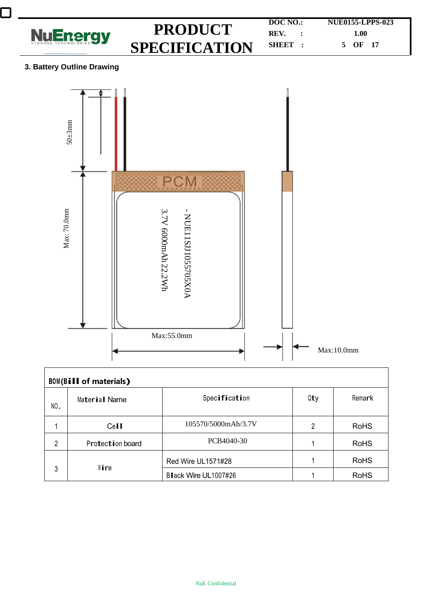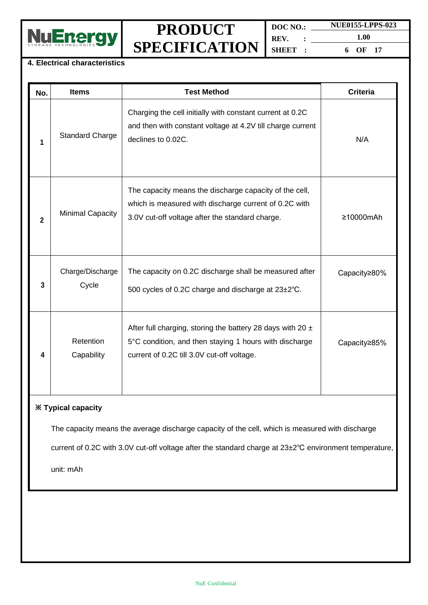

**DOC NO.: REV. : SHEET : NUE0155-LPPS-023 1.00 6 OF 17**

#### **4. Electrical characteristics**

| No.          | <b>Items</b>              | <b>Test Method</b>                                                                                                                                                     | <b>Criteria</b> |  |  |
|--------------|---------------------------|------------------------------------------------------------------------------------------------------------------------------------------------------------------------|-----------------|--|--|
| 1            | <b>Standard Charge</b>    | Charging the cell initially with constant current at 0.2C<br>and then with constant voltage at 4.2V till charge current<br>declines to 0.02C.                          | N/A             |  |  |
| $\mathbf{2}$ | <b>Minimal Capacity</b>   | The capacity means the discharge capacity of the cell,<br>which is measured with discharge current of 0.2C with<br>3.0V cut-off voltage after the standard charge.     | ≥10000mAh       |  |  |
| 3            | Charge/Discharge<br>Cycle | The capacity on 0.2C discharge shall be measured after<br>500 cycles of 0.2C charge and discharge at 23±2°C.                                                           | Capacity≥80%    |  |  |
| 4            | Retention<br>Capability   | After full charging, storing the battery 28 days with 20 $\pm$<br>5°C condition, and then staying 1 hours with discharge<br>current of 0.2C till 3.0V cut-off voltage. | Capacity≥85%    |  |  |
|              | <b>※ Typical capacity</b> |                                                                                                                                                                        |                 |  |  |

The capacity means the average discharge capacity of the cell, which is measured with discharge

current of 0.2C with 3.0V cut-off voltage after the standard charge at 23±2℃ environment temperature,

unit: mAh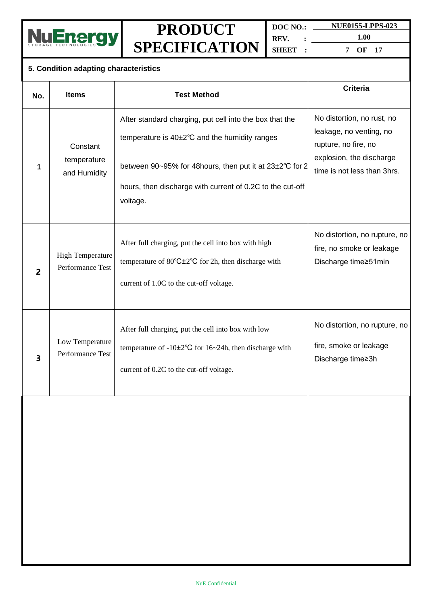

**DOC NO.: REV. : SHEET : NUE0155-LPPS-023**

**1.00 7 OF 17**

### **5. Condition adapting characteristics**

| No.                     | <b>Items</b>                                | <b>Test Method</b>                                                                                                                                                                                                                           | <b>Criteria</b>                                                                                                                          |
|-------------------------|---------------------------------------------|----------------------------------------------------------------------------------------------------------------------------------------------------------------------------------------------------------------------------------------------|------------------------------------------------------------------------------------------------------------------------------------------|
| 1                       | Constant<br>temperature<br>and Humidity     | After standard charging, put cell into the box that the<br>temperature is 40±2°C and the humidity ranges<br>between 90~95% for 48hours, then put it at 23±2°C for 2<br>hours, then discharge with current of 0.2C to the cut-off<br>voltage. | No distortion, no rust, no<br>leakage, no venting, no<br>rupture, no fire, no<br>explosion, the discharge<br>time is not less than 3hrs. |
| $\overline{2}$          | <b>High Temperature</b><br>Performance Test | After full charging, put the cell into box with high<br>temperature of $80^{\circ}$ C $\pm 2^{\circ}$ C for 2h, then discharge with<br>current of 1.0C to the cut-off voltage.                                                               | No distortion, no rupture, no<br>fire, no smoke or leakage<br>Discharge time≥51min                                                       |
| $\overline{\mathbf{3}}$ | Low Temperature<br>Performance Test         | After full charging, put the cell into box with low<br>temperature of $-10\pm 2^{\circ}$ C for 16~24h, then discharge with<br>current of 0.2C to the cut-off voltage.                                                                        | No distortion, no rupture, no<br>fire, smoke or leakage<br>Discharge time≥3h                                                             |
|                         |                                             |                                                                                                                                                                                                                                              |                                                                                                                                          |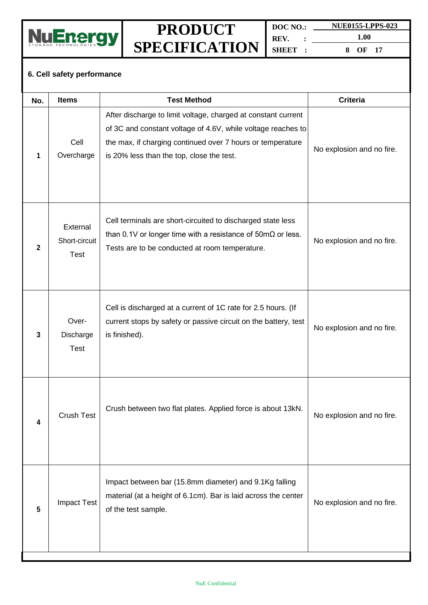

**DOC NO.: REV. : SHEET : NUE0155-LPPS-023 1.00**

**8 OF 17**

#### **6. Cell safety performance**

| No.          | <b>Items</b>                             | <b>Test Method</b>                                                                                                                                                                                                                       | <b>Criteria</b>           |
|--------------|------------------------------------------|------------------------------------------------------------------------------------------------------------------------------------------------------------------------------------------------------------------------------------------|---------------------------|
| 1            | Cell<br>Overcharge                       | After discharge to limit voltage, charged at constant current<br>of 3C and constant voltage of 4.6V, while voltage reaches to<br>the max, if charging continued over 7 hours or temperature<br>is 20% less than the top, close the test. | No explosion and no fire. |
| $\mathbf{2}$ | External<br>Short-circuit<br><b>Test</b> | Cell terminals are short-circuited to discharged state less<br>than 0.1V or longer time with a resistance of $50 \text{m}\Omega$ or less.<br>Tests are to be conducted at room temperature.                                              | No explosion and no fire. |
| 3            | Over-<br>Discharge<br><b>Test</b>        | Cell is discharged at a current of 1C rate for 2.5 hours. (If<br>current stops by safety or passive circuit on the battery, test<br>is finished).                                                                                        | No explosion and no fire. |
| 4            | <b>Crush Test</b>                        | Crush between two flat plates. Applied force is about 13kN.                                                                                                                                                                              | No explosion and no fire. |
| 5            | <b>Impact Test</b>                       | Impact between bar (15.8mm diameter) and 9.1Kg falling<br>material (at a height of 6.1cm). Bar is laid across the center<br>of the test sample.                                                                                          | No explosion and no fire. |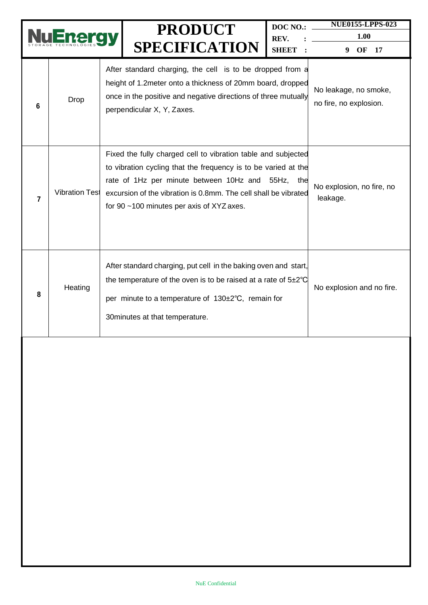|                |                       |                                                                                                                                                                                                                                                                                                            | <b>PRODUCT</b><br><b>SPECIFICATION</b>                                                                                                                                                                                                | DOC NO.:<br>REV.<br><b>SHEET</b>                | <b>NUE0155-LPPS-023</b><br>1.00<br>OF<br>17<br>9 |
|----------------|-----------------------|------------------------------------------------------------------------------------------------------------------------------------------------------------------------------------------------------------------------------------------------------------------------------------------------------------|---------------------------------------------------------------------------------------------------------------------------------------------------------------------------------------------------------------------------------------|-------------------------------------------------|--------------------------------------------------|
| 6              | Drop                  |                                                                                                                                                                                                                                                                                                            | After standard charging, the cell is to be dropped from a<br>height of 1.2 meter onto a thickness of 20mm board, dropped<br>once in the positive and negative directions of three mutually<br>perpendicular X, Y, Zaxes.              | No leakage, no smoke,<br>no fire, no explosion. |                                                  |
| $\overline{7}$ | <b>Vibration Test</b> | Fixed the fully charged cell to vibration table and subjected<br>to vibration cycling that the frequency is to be varied at the<br>rate of 1Hz per minute between 10Hz and<br>55Hz,<br>the<br>excursion of the vibration is 0.8mm. The cell shall be vibrated<br>for 90 ~100 minutes per axis of XYZ axes. |                                                                                                                                                                                                                                       |                                                 | No explosion, no fire, no<br>leakage.            |
| 8              | Heating               |                                                                                                                                                                                                                                                                                                            | After standard charging, put cell in the baking oven and start,<br>the temperature of the oven is to be raised at a rate of $5\pm2^{\circ}C$<br>per minute to a temperature of 130±2°C, remain for<br>30 minutes at that temperature. |                                                 | No explosion and no fire.                        |
|                |                       |                                                                                                                                                                                                                                                                                                            |                                                                                                                                                                                                                                       |                                                 |                                                  |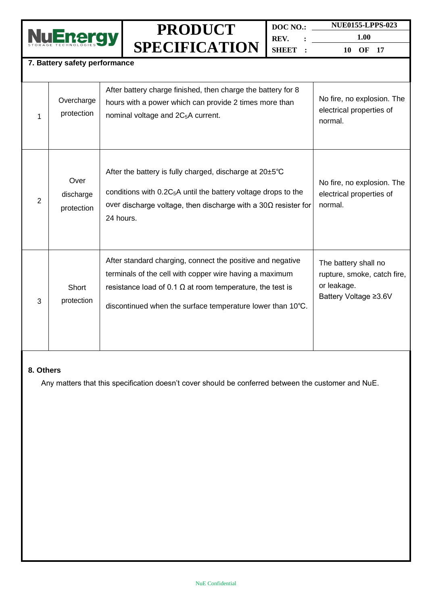

**DOC NO.: REV. : SHEET : NUE0155-LPPS-023**

**1.00 10 OF 17**

#### **7. Battery safety performance**

| 1 | Overcharge<br>protection        | After battery charge finished, then charge the battery for 8<br>hours with a power which can provide 2 times more than<br>nominal voltage and 2C <sub>5</sub> A current.                                                                                | No fire, no explosion. The<br>electrical properties of<br>normal.                           |
|---|---------------------------------|---------------------------------------------------------------------------------------------------------------------------------------------------------------------------------------------------------------------------------------------------------|---------------------------------------------------------------------------------------------|
| 2 | Over<br>discharge<br>protection | After the battery is fully charged, discharge at $20\pm5^{\circ}C$<br>conditions with $0.2C_5A$ until the battery voltage drops to the<br>over discharge voltage, then discharge with a 30 $\Omega$ resister for<br>24 hours.                           | No fire, no explosion. The<br>electrical properties of<br>normal.                           |
| 3 | Short<br>protection             | After standard charging, connect the positive and negative<br>terminals of the cell with copper wire having a maximum<br>resistance load of 0.1 $\Omega$ at room temperature, the test is<br>discontinued when the surface temperature lower than 10°C. | The battery shall no<br>rupture, smoke, catch fire,<br>or leakage.<br>Battery Voltage ≥3.6V |

#### **8. Others**

Any matters that this specification doesn't cover should be conferred between the customer and NuE.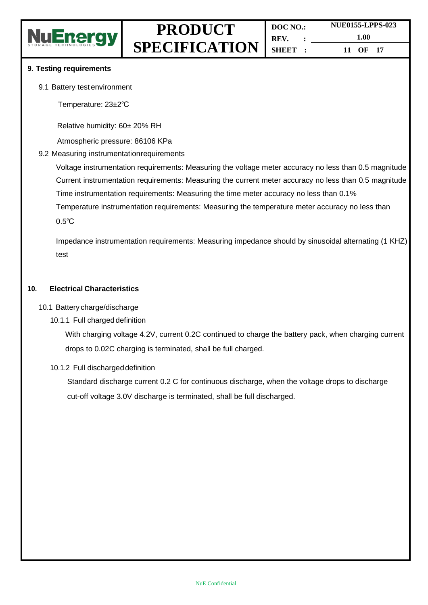

#### **9. Testing requirements**

9.1 Battery test environment

Temperature: 23±2℃

Relative humidity: 60± 20% RH

Atmospheric pressure: 86106 KPa

#### 9.2 Measuring instrumentationrequirements

Voltage instrumentation requirements: Measuring the voltage meter accuracy no less than 0.5 magnitude Current instrumentation requirements: Measuring the current meter accuracy no less than 0.5 magnitude Time instrumentation requirements: Measuring the time meter accuracy no less than 0.1% Temperature instrumentation requirements: Measuring the temperature meter accuracy no less than 0.5℃

Impedance instrumentation requirements: Measuring impedance should by sinusoidal alternating (1 KHZ) test

#### **10. Electrical Characteristics**

#### 10.1 Battery charge/discharge

#### 10.1.1 Full charged definition

With charging voltage 4.2V, current 0.2C continued to charge the battery pack, when charging current drops to 0.02C charging is terminated, shall be full charged.

#### 10.1.2 Full dischargeddefinition

Standard discharge current 0.2 C for continuous discharge, when the voltage drops to discharge cut-off voltage 3.0V discharge is terminated, shall be full discharged.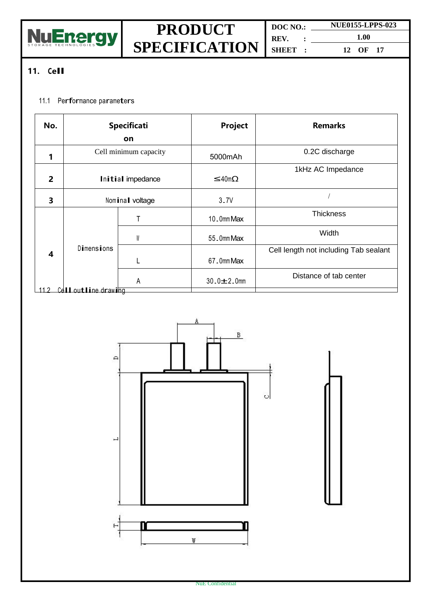

**REV. : SHEET :**

**DOC NO.: NUE0155-LPPS-023 1.00 12 OF 17**

### **11. Cell**

### 11.1 Performance parameters

| No.                     | <b>Specificati</b>    |   | Project           | <b>Remarks</b>                        |
|-------------------------|-----------------------|---|-------------------|---------------------------------------|
|                         | <b>on</b>             |   |                   |                                       |
| 1                       | Cell minimum capacity |   | 5000mAh           | 0.2C discharge                        |
| $\overline{2}$          | Initial impedance     |   | $≤40$ mΩ          | 1kHz AC Impedance                     |
| 3                       | Nominal voltage       |   | 3.7V              |                                       |
|                         |                       |   | 10.0mm Max        | <b>Thickness</b>                      |
|                         |                       | W | 55 Omm Max        | Width                                 |
| $\overline{\mathbf{4}}$ | Dimensions            |   |                   | Cell length not including Tab sealant |
|                         |                       |   | 67 Omm Max        |                                       |
|                         |                       | A | $30.0 \pm 2.0$ mm | Distance of tab center                |
|                         | Cell outline drawing  |   |                   |                                       |

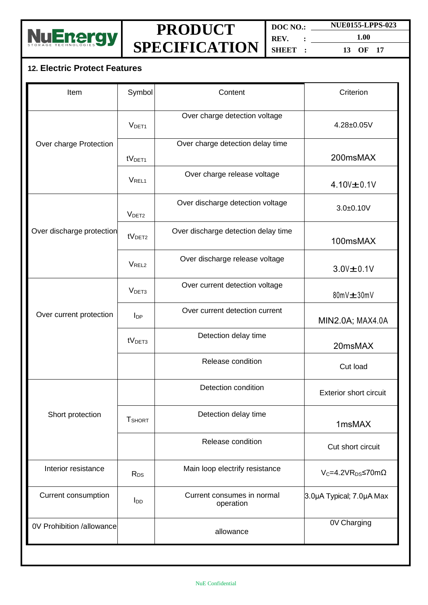

**DOC NO.: REV. : SHEET : NUE0155-LPPS-023**

**1.00 13 OF 17**

### **12. Electric Protect Features**

| Item                      | Symbol             | Content                                 | Criterion                        |  |
|---------------------------|--------------------|-----------------------------------------|----------------------------------|--|
| Over charge Protection    | V <sub>DET1</sub>  | Over charge detection voltage           | 4.28±0.05V                       |  |
|                           |                    | Over charge detection delay time        |                                  |  |
|                           | tV <sub>DET1</sub> |                                         | 200msMAX                         |  |
|                           | V <sub>REL1</sub>  | Over charge release voltage             | $4.10V + 0.1V$                   |  |
| Over discharge protection | V <sub>DET2</sub>  | Over discharge detection voltage        | $3.0 + 0.10V$                    |  |
|                           | tV <sub>DET2</sub> | Over discharge detection delay time     | 100msMAX                         |  |
|                           | V <sub>REL2</sub>  | Over discharge release voltage          | $3.0V \pm 0.1V$                  |  |
| Over current protection   | V <sub>DET3</sub>  | Over current detection voltage          | $80mV \pm 30mV$                  |  |
|                           | $I_{DP}$           | Over current detection current          | MIN2.0A; MAX4.0A                 |  |
|                           | tV <sub>DET3</sub> | Detection delay time                    | 20msMAX                          |  |
|                           |                    | Release condition                       | Cut load                         |  |
| Short protection          |                    | Detection condition                     | <b>Exterior short circuit</b>    |  |
|                           | <b>T</b> SHORT     | Detection delay time                    | 1msMAX                           |  |
|                           |                    | Release condition                       | Cut short circuit                |  |
| Interior resistance       | $R_{DS}$           | Main loop electrify resistance          | $V_C = 4.2VR_{DS} \le 70m\Omega$ |  |
| Current consumption       | $I_{DD}$           | Current consumes in normal<br>operation | 3.0µA Typical; 7.0µA Max         |  |
| 0V Prohibition /allowance |                    | allowance                               | 0V Charging                      |  |
|                           |                    |                                         |                                  |  |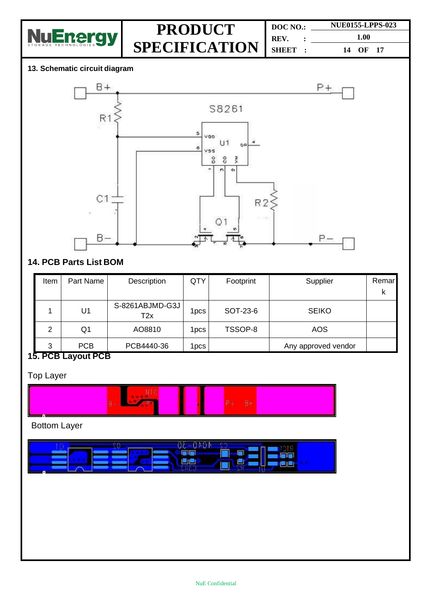

**DOC NO.: REV. : SHEET : NUE0155-LPPS-023 1.00 14 OF 17**

#### **13. Schematic circuit diagram**



### **14. PCB Parts List BOM**

| Item                          | Part Name                              | Description            | QTY   | Footprint | Supplier            | Remar |
|-------------------------------|----------------------------------------|------------------------|-------|-----------|---------------------|-------|
|                               |                                        |                        |       |           |                     | ĸ     |
|                               | U <sub>1</sub>                         | S-8261ABJMD-G3J<br>T2x | 1pcs  | SOT-23-6  | <b>SEIKO</b>        |       |
| 2                             | Q <sub>1</sub>                         | AO8810                 | 1pcs. | TSSOP-8   | <b>AOS</b>          |       |
| 3<br>$\overline{\phantom{a}}$ | <b>PCB</b><br>$\overline{\phantom{a}}$ | PCB4440-36             | 1pcs. |           | Any approved vendor |       |

### **15. PCB Layout PCB**

Top Layer



Bottom Layer

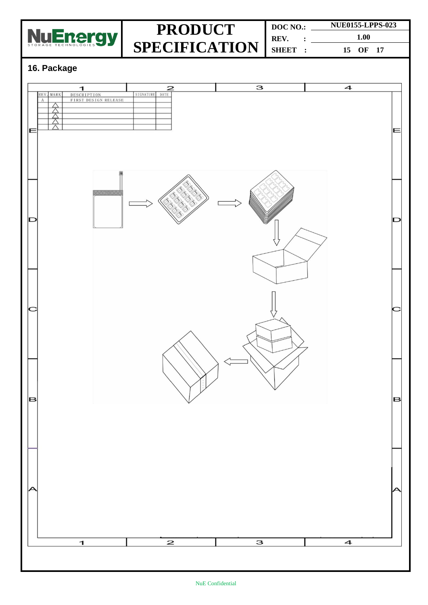

**DOC NO.: REV. : SHEET : NUE0155-LPPS-023 1.00 15 OF 17**

### **16. Package**

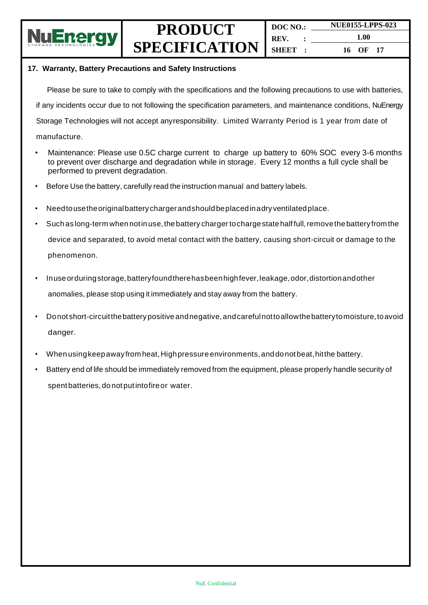

**DOC NO.: REV. : SHEET : NUE0155-LPPS-023 1.00 16 OF 17**

#### **17. Warranty, Battery Precautions and Safety Instructions**

Please be sure to take to comply with the specifications and the following precautions to use with batteries, if any incidents occur due to not following the specification parameters, and maintenance conditions, NuEnergy Storage Technologies will not accept anyresponsibility. Limited Warranty Period is 1 year from date of manufacture.

- Maintenance: Please use 0.5C charge current to charge up battery to 60% SOC every 3-6 months to prevent over discharge and degradation while in storage. Every 12 months a full cycle shall be performed to prevent degradation.
- Before Use the battery, carefully read the instruction manual and battery labels.
- Needtousetheoriginalbattery chargerandshouldbeplacedinadryventilatedplace.
- Such as long-term when not in use, the battery charger to charge state halffull, remove the battery from the device and separated, to avoid metal contact with the battery, causing short-circuit or damage to the phenomenon.
- Inuseorduringstorage,batteryfoundtherehasbeenhighfever,leakage,odor,distortionandother anomalies, please stop using it immediately and stay away from the battery.
- Donot short-circuitthebatterypositive andnegative,andcarefulnottoallowthebatterytomoisture,toavoid danger.
- When usingkeepawayfrom heat,Highpressure environments,anddonotbeat,hitthe battery.
- Battery end of life should be immediately removed from the equipment, please properly handle security of spentbatteries,donotputintofireor water.